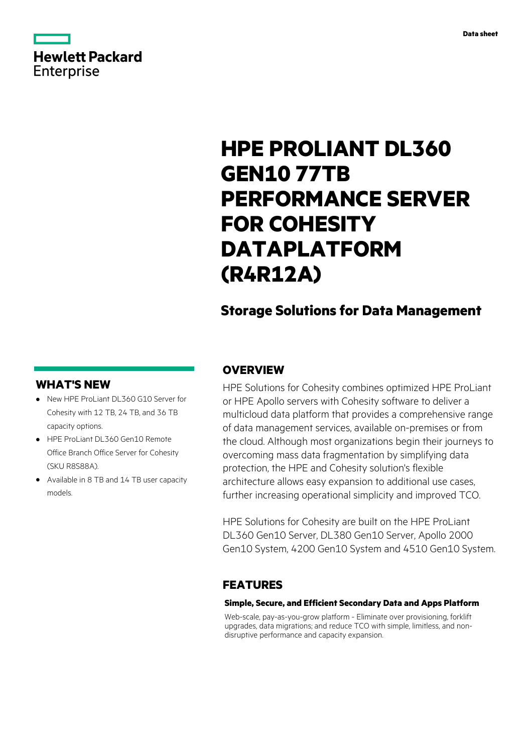

# **HPE PROLIANT DL360 GEN10 77TB PERFORMANCE SERVER FOR COHESITY DATAPLATFORM (R4R12A)**

# **Storage Solutions for Data Management**

## **WHAT'S NEW**

- **·** New HPE ProLiant DL360 G10 Server for Cohesity with 12 TB, 24 TB, and 36 TB capacity options.
- **·** HPE ProLiant DL360 Gen10 Remote Office Branch Office Server for Cohesity (SKU R8S88A).
- **·** Available in 8 TB and 14 TB user capacity models.

## **OVERVIEW**

HPE Solutions for Cohesity combines optimized HPE ProLiant or HPE Apollo servers with Cohesity software to deliver a multicloud data platform that provides a comprehensive range of data management services, available on-premises or from the cloud. Although most organizations begin their journeys to overcoming mass data fragmentation by simplifying data protection, the HPE and Cohesity solution's flexible architecture allows easy expansion to additional use cases, further increasing operational simplicity and improved TCO.

HPE Solutions for Cohesity are built on the HPE ProLiant DL360 Gen10 Server, DL380 Gen10 Server, Apollo 2000 Gen10 System, 4200 Gen10 System and 4510 Gen10 System.

## **FEATURES**

#### **Simple, Secure, and Efficient Secondary Data and Apps Platform**

Web-scale, pay-as-you-grow platform - Eliminate over provisioning, forklift upgrades, data migrations; and reduce TCO with simple, limitless, and nondisruptive performance and capacity expansion.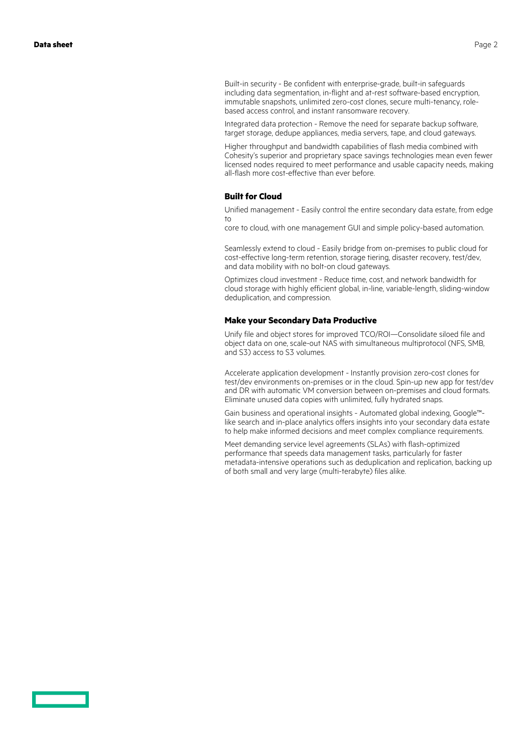Built-in security - Be confident with enterprise-grade, built-in safeguards including data segmentation, in-flight and at-rest software-based encryption, immutable snapshots, unlimited zero-cost clones, secure multi-tenancy, rolebased access control, and instant ransomware recovery.

Integrated data protection - Remove the need for separate backup software, target storage, dedupe appliances, media servers, tape, and cloud gateways.

Higher throughput and bandwidth capabilities of flash media combined with Cohesity's superior and proprietary space savings technologies mean even fewer licensed nodes required to meet performance and usable capacity needs, making all-flash more cost-effective than ever before.

#### **Built for Cloud**

Unified management - Easily control the entire secondary data estate, from edge to

core to cloud, with one management GUI and simple policy-based automation.

Seamlessly extend to cloud - Easily bridge from on-premises to public cloud for cost-effective long-term retention, storage tiering, disaster recovery, test/dev, and data mobility with no bolt-on cloud gateways.

Optimizes cloud investment - Reduce time, cost, and network bandwidth for cloud storage with highly efficient global, in-line, variable-length, sliding-window deduplication, and compression.

#### **Make your Secondary Data Productive**

Unify file and object stores for improved TCO/ROI—Consolidate siloed file and object data on one, scale-out NAS with simultaneous multiprotocol (NFS, SMB, and S3) access to S3 volumes.

Accelerate application development - Instantly provision zero-cost clones for test/dev environments on-premises or in the cloud. Spin-up new app for test/dev and DR with automatic VM conversion between on-premises and cloud formats. Eliminate unused data copies with unlimited, fully hydrated snaps.

Gain business and operational insights - Automated global indexing, Google™ like search and in-place analytics offers insights into your secondary data estate to help make informed decisions and meet complex compliance requirements.

Meet demanding service level agreements (SLAs) with flash-optimized performance that speeds data management tasks, particularly for faster metadata-intensive operations such as deduplication and replication, backing up of both small and very large (multi-terabyte) files alike.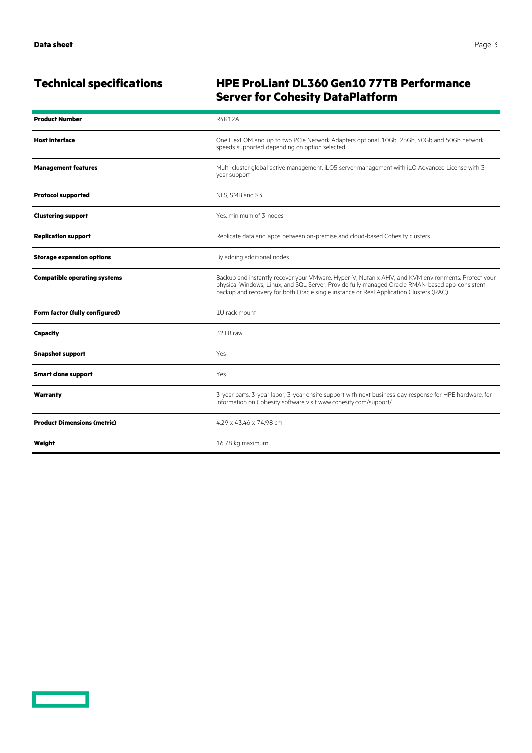<u>and the second part of the second part of the second part of the second part of the second part of the second part of the second part of the second part of the second part of the second part of the second part of the seco</u>

# **Technical specifications HPE ProLiant DL360 Gen10 77TB Performance Server for Cohesity DataPlatform**

| <b>Product Number</b>               | <b>R4R12A</b>                                                                                                                                                                                                                                                                                   |
|-------------------------------------|-------------------------------------------------------------------------------------------------------------------------------------------------------------------------------------------------------------------------------------------------------------------------------------------------|
| <b>Host interface</b>               | One FlexLOM and up to two PCIe Network Adapters optional. 10Gb, 25Gb, 40Gb and 50Gb network<br>speeds supported depending on option selected                                                                                                                                                    |
| <b>Management features</b>          | Multi-cluster global active management, iLO5 server management with iLO Advanced License with 3-<br>year support                                                                                                                                                                                |
| <b>Protocol supported</b>           | NFS. SMB and S3                                                                                                                                                                                                                                                                                 |
| <b>Clustering support</b>           | Yes, minimum of 3 nodes                                                                                                                                                                                                                                                                         |
| <b>Replication support</b>          | Replicate data and apps between on-premise and cloud-based Cohesity clusters                                                                                                                                                                                                                    |
| <b>Storage expansion options</b>    | By adding additional nodes                                                                                                                                                                                                                                                                      |
| <b>Compatible operating systems</b> | Backup and instantly recover your VMware, Hyper-V, Nutanix AHV, and KVM environments. Protect your<br>physical Windows, Linux, and SQL Server. Provide fully managed Oracle RMAN-based app-consistent<br>backup and recovery for both Oracle single instance or Real Application Clusters (RAC) |
| Form factor (fully configured)      | 1U rack mount                                                                                                                                                                                                                                                                                   |
| <b>Capacity</b>                     | 32TB raw                                                                                                                                                                                                                                                                                        |
| <b>Snapshot support</b>             | Yes                                                                                                                                                                                                                                                                                             |
| <b>Smart clone support</b>          | Yes                                                                                                                                                                                                                                                                                             |
| Warranty                            | 3-year parts, 3-year labor, 3-year onsite support with next business day response for HPE hardware, for<br>information on Cohesity software visit www.cohesity.com/support/.                                                                                                                    |
| <b>Product Dimensions (metric)</b>  | 4.29 x 43.46 x 74.98 cm                                                                                                                                                                                                                                                                         |
| Weight                              | 16.78 kg maximum                                                                                                                                                                                                                                                                                |